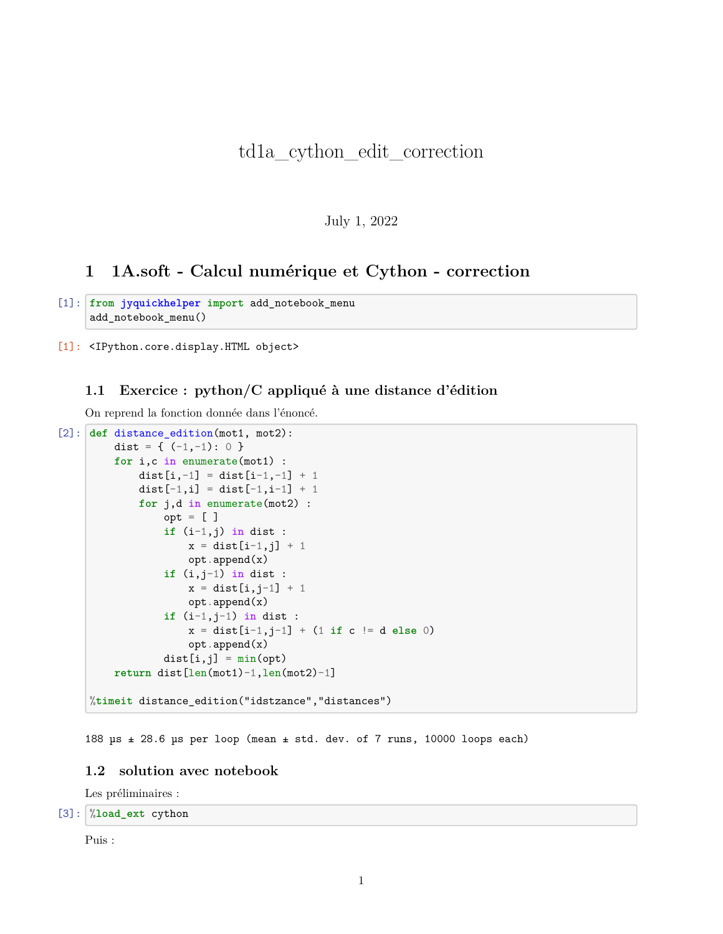# td1a\_cython\_edit\_correction

### July 1, 2022

## **1 1A.soft - Calcul numérique et Cython - correction**

```
[1]: from jyquickhelper import add_notebook_menu
     add_notebook_menu()
```
[1]: <IPython.core.display.HTML object>

### **1.1 Exercice : python/C appliqué à une distance d'édition**

On reprend la fonction donnée dans l'énoncé.

```
[2]: def distance_edition(mot1, mot2):
         dist = { (-1, -1): 0 }
         for i,c in enumerate(mot1) :
             dist[i,-1] = dist[i-1,-1] + 1dist[-1,i] = dist[-1,i-1] + 1for j,d in enumerate(mot2) :
                 opt = [ ]if (i-1,j) in dist :
                     x = dist[i-1, j] + 1opt.append(x)
                 if (i,j-1) in dist :
                     x = dist[i, j-1] + 1opt.append(x)
                 if (i-1,j-1) in dist :
                     x = dist[i-1, j-1] + (1 if c != d else 0)opt.append(x)
                 dist[i,j] = min(opt)return dist[len(mot1)-1,len(mot2)-1]
     %timeit distance_edition("idstzance","distances")
```
188 µs ± 28.6 µs per loop (mean ± std. dev. of 7 runs, 10000 loops each)

#### **1.2 solution avec notebook**

Les préliminaires :

[3]: %**load\_ext** cython

Puis :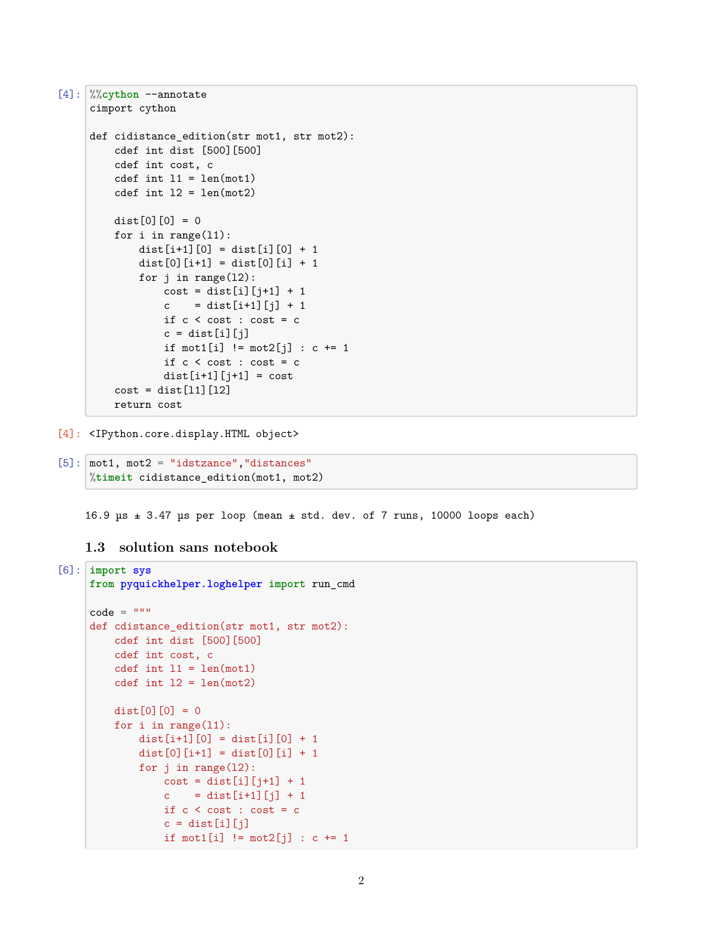```
[4]: %%cython --annotate
     cimport cython
     def cidistance_edition(str mot1, str mot2):
         cdef int dist [500][500]
         cdef int cost, c
         cdef int 11 = len(mot1)cdef int 12 = len(mot2)dist[0][0] = 0for i in range(l1):
             dist[i+1][0] = dist[i][0] + 1dist[0][i+1] = dist[0][i] + 1for j in range(l2):
                  cost = dist[i][j+1] + 1c = dist[i+1][j] + 1if c < \text{cost} : \text{cost} = cc = dist[i][j]if mot1[i] != mot2[j] : c += 1
                 if c < \text{cost} : \text{cost} = cdist[i+1][j+1] = costcost = dist[11][12]return cost
```
[4]: <IPython.core.display.HTML object>

```
[5]: | mot1, mot2 = "idstzance", "distances"
     %timeit cidistance_edition(mot1, mot2)
```
16.9  $\mu s$   $\pm$  3.47  $\mu s$  per loop (mean  $\pm$  std. dev. of 7 runs, 10000 loops each)

**1.3 solution sans notebook**

```
[6]: import sys
     from pyquickhelper.loghelper import run_cmd
     code = """"def cdistance_edition(str mot1, str mot2):
         cdef int dist [500][500]
         cdef int cost, c
         cdef int 11 = len(mot1)cdef int 12 = len(mot2)dist[0][0] = 0for i in range(l1):
             dist[i+1][0] = dist[i][0] + 1dist[0][i+1] = dist[0][i] + 1for j in range(l2):
                 cost = dist[i][j+1] + 1c = dist[i+1][j] + 1if c < \text{cost} : \text{cost} = cc = dist[i][j]if mot1[i] != mot2[j] : c += 1
```